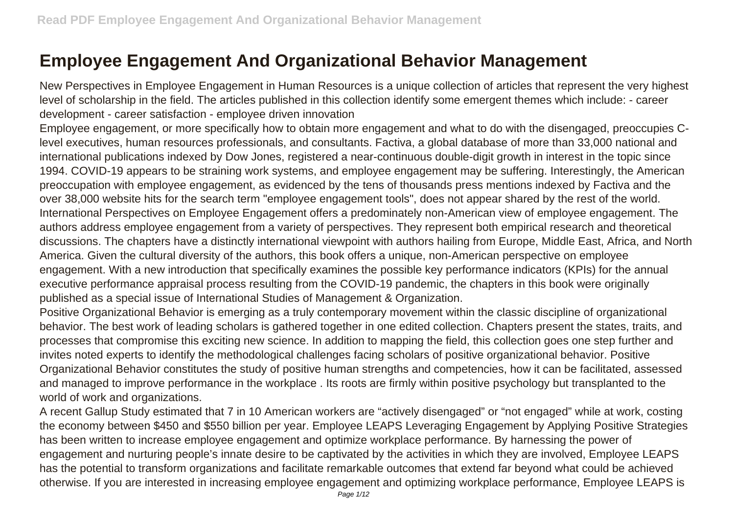## **Employee Engagement And Organizational Behavior Management**

New Perspectives in Employee Engagement in Human Resources is a unique collection of articles that represent the very highest level of scholarship in the field. The articles published in this collection identify some emergent themes which include: - career development - career satisfaction - employee driven innovation

Employee engagement, or more specifically how to obtain more engagement and what to do with the disengaged, preoccupies Clevel executives, human resources professionals, and consultants. Factiva, a global database of more than 33,000 national and international publications indexed by Dow Jones, registered a near-continuous double-digit growth in interest in the topic since 1994. COVID-19 appears to be straining work systems, and employee engagement may be suffering. Interestingly, the American preoccupation with employee engagement, as evidenced by the tens of thousands press mentions indexed by Factiva and the over 38,000 website hits for the search term "employee engagement tools", does not appear shared by the rest of the world. International Perspectives on Employee Engagement offers a predominately non-American view of employee engagement. The authors address employee engagement from a variety of perspectives. They represent both empirical research and theoretical discussions. The chapters have a distinctly international viewpoint with authors hailing from Europe, Middle East, Africa, and North America. Given the cultural diversity of the authors, this book offers a unique, non-American perspective on employee engagement. With a new introduction that specifically examines the possible key performance indicators (KPIs) for the annual executive performance appraisal process resulting from the COVID-19 pandemic, the chapters in this book were originally published as a special issue of International Studies of Management & Organization.

Positive Organizational Behavior is emerging as a truly contemporary movement within the classic discipline of organizational behavior. The best work of leading scholars is gathered together in one edited collection. Chapters present the states, traits, and processes that compromise this exciting new science. In addition to mapping the field, this collection goes one step further and invites noted experts to identify the methodological challenges facing scholars of positive organizational behavior. Positive Organizational Behavior constitutes the study of positive human strengths and competencies, how it can be facilitated, assessed and managed to improve performance in the workplace . Its roots are firmly within positive psychology but transplanted to the world of work and organizations.

A recent Gallup Study estimated that 7 in 10 American workers are "actively disengaged" or "not engaged" while at work, costing the economy between \$450 and \$550 billion per year. Employee LEAPS Leveraging Engagement by Applying Positive Strategies has been written to increase employee engagement and optimize workplace performance. By harnessing the power of engagement and nurturing people's innate desire to be captivated by the activities in which they are involved, Employee LEAPS has the potential to transform organizations and facilitate remarkable outcomes that extend far beyond what could be achieved otherwise. If you are interested in increasing employee engagement and optimizing workplace performance, Employee LEAPS is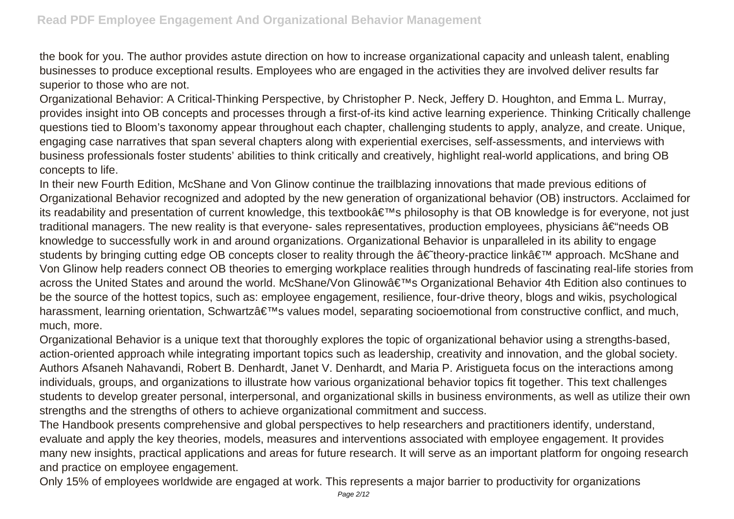the book for you. The author provides astute direction on how to increase organizational capacity and unleash talent, enabling businesses to produce exceptional results. Employees who are engaged in the activities they are involved deliver results far superior to those who are not.

Organizational Behavior: A Critical-Thinking Perspective, by Christopher P. Neck, Jeffery D. Houghton, and Emma L. Murray, provides insight into OB concepts and processes through a first-of-its kind active learning experience. Thinking Critically challenge questions tied to Bloom's taxonomy appear throughout each chapter, challenging students to apply, analyze, and create. Unique, engaging case narratives that span several chapters along with experiential exercises, self-assessments, and interviews with business professionals foster students' abilities to think critically and creatively, highlight real-world applications, and bring OB concepts to life.

In their new Fourth Edition, McShane and Von Glinow continue the trailblazing innovations that made previous editions of Organizational Behavior recognized and adopted by the new generation of organizational behavior (OB) instructors. Acclaimed for its readability and presentation of current knowledge, this textbook's philosophy is that OB knowledge is for everyone, not just traditional managers. The new reality is that everyone- sales representatives, production employees, physicians  $\hat{a}\in\hat{a}$  needs OB knowledge to successfully work in and around organizations. Organizational Behavior is unparalleled in its ability to engage students by bringing cutting edge OB concepts closer to reality through the †theory-practice link' approach. McShane and Von Glinow help readers connect OB theories to emerging workplace realities through hundreds of fascinating real-life stories from across the United States and around the world. McShane/Von Glinow's Organizational Behavior 4th Edition also continues to be the source of the hottest topics, such as: employee engagement, resilience, four-drive theory, blogs and wikis, psychological harassment, learning orientation, Schwartz's values model, separating socioemotional from constructive conflict, and much, much, more.

Organizational Behavior is a unique text that thoroughly explores the topic of organizational behavior using a strengths-based, action-oriented approach while integrating important topics such as leadership, creativity and innovation, and the global society. Authors Afsaneh Nahavandi, Robert B. Denhardt, Janet V. Denhardt, and Maria P. Aristigueta focus on the interactions among individuals, groups, and organizations to illustrate how various organizational behavior topics fit together. This text challenges students to develop greater personal, interpersonal, and organizational skills in business environments, as well as utilize their own strengths and the strengths of others to achieve organizational commitment and success.

The Handbook presents comprehensive and global perspectives to help researchers and practitioners identify, understand, evaluate and apply the key theories, models, measures and interventions associated with employee engagement. It provides many new insights, practical applications and areas for future research. It will serve as an important platform for ongoing research and practice on employee engagement.

Only 15% of employees worldwide are engaged at work. This represents a major barrier to productivity for organizations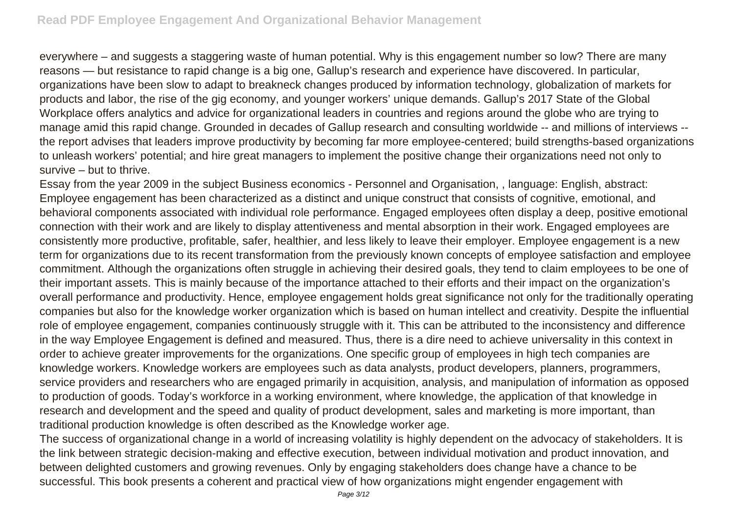everywhere – and suggests a staggering waste of human potential. Why is this engagement number so low? There are many reasons — but resistance to rapid change is a big one, Gallup's research and experience have discovered. In particular, organizations have been slow to adapt to breakneck changes produced by information technology, globalization of markets for products and labor, the rise of the gig economy, and younger workers' unique demands. Gallup's 2017 State of the Global Workplace offers analytics and advice for organizational leaders in countries and regions around the globe who are trying to manage amid this rapid change. Grounded in decades of Gallup research and consulting worldwide -- and millions of interviews - the report advises that leaders improve productivity by becoming far more employee-centered; build strengths-based organizations to unleash workers' potential; and hire great managers to implement the positive change their organizations need not only to survive – but to thrive.

Essay from the year 2009 in the subject Business economics - Personnel and Organisation, , language: English, abstract: Employee engagement has been characterized as a distinct and unique construct that consists of cognitive, emotional, and behavioral components associated with individual role performance. Engaged employees often display a deep, positive emotional connection with their work and are likely to display attentiveness and mental absorption in their work. Engaged employees are consistently more productive, profitable, safer, healthier, and less likely to leave their employer. Employee engagement is a new term for organizations due to its recent transformation from the previously known concepts of employee satisfaction and employee commitment. Although the organizations often struggle in achieving their desired goals, they tend to claim employees to be one of their important assets. This is mainly because of the importance attached to their efforts and their impact on the organization's overall performance and productivity. Hence, employee engagement holds great significance not only for the traditionally operating companies but also for the knowledge worker organization which is based on human intellect and creativity. Despite the influential role of employee engagement, companies continuously struggle with it. This can be attributed to the inconsistency and difference in the way Employee Engagement is defined and measured. Thus, there is a dire need to achieve universality in this context in order to achieve greater improvements for the organizations. One specific group of employees in high tech companies are knowledge workers. Knowledge workers are employees such as data analysts, product developers, planners, programmers, service providers and researchers who are engaged primarily in acquisition, analysis, and manipulation of information as opposed to production of goods. Today's workforce in a working environment, where knowledge, the application of that knowledge in research and development and the speed and quality of product development, sales and marketing is more important, than traditional production knowledge is often described as the Knowledge worker age.

The success of organizational change in a world of increasing volatility is highly dependent on the advocacy of stakeholders. It is the link between strategic decision-making and effective execution, between individual motivation and product innovation, and between delighted customers and growing revenues. Only by engaging stakeholders does change have a chance to be successful. This book presents a coherent and practical view of how organizations might engender engagement with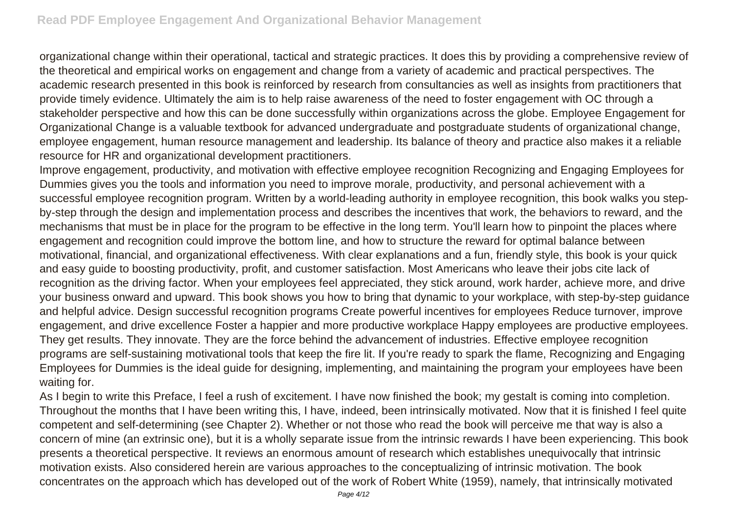organizational change within their operational, tactical and strategic practices. It does this by providing a comprehensive review of the theoretical and empirical works on engagement and change from a variety of academic and practical perspectives. The academic research presented in this book is reinforced by research from consultancies as well as insights from practitioners that provide timely evidence. Ultimately the aim is to help raise awareness of the need to foster engagement with OC through a stakeholder perspective and how this can be done successfully within organizations across the globe. Employee Engagement for Organizational Change is a valuable textbook for advanced undergraduate and postgraduate students of organizational change, employee engagement, human resource management and leadership. Its balance of theory and practice also makes it a reliable resource for HR and organizational development practitioners.

Improve engagement, productivity, and motivation with effective employee recognition Recognizing and Engaging Employees for Dummies gives you the tools and information you need to improve morale, productivity, and personal achievement with a successful employee recognition program. Written by a world-leading authority in employee recognition, this book walks you stepby-step through the design and implementation process and describes the incentives that work, the behaviors to reward, and the mechanisms that must be in place for the program to be effective in the long term. You'll learn how to pinpoint the places where engagement and recognition could improve the bottom line, and how to structure the reward for optimal balance between motivational, financial, and organizational effectiveness. With clear explanations and a fun, friendly style, this book is your quick and easy guide to boosting productivity, profit, and customer satisfaction. Most Americans who leave their jobs cite lack of recognition as the driving factor. When your employees feel appreciated, they stick around, work harder, achieve more, and drive your business onward and upward. This book shows you how to bring that dynamic to your workplace, with step-by-step guidance and helpful advice. Design successful recognition programs Create powerful incentives for employees Reduce turnover, improve engagement, and drive excellence Foster a happier and more productive workplace Happy employees are productive employees. They get results. They innovate. They are the force behind the advancement of industries. Effective employee recognition programs are self-sustaining motivational tools that keep the fire lit. If you're ready to spark the flame, Recognizing and Engaging Employees for Dummies is the ideal guide for designing, implementing, and maintaining the program your employees have been waiting for.

As I begin to write this Preface, I feel a rush of excitement. I have now finished the book; my gestalt is coming into completion. Throughout the months that I have been writing this, I have, indeed, been intrinsically motivated. Now that it is finished I feel quite competent and self-determining (see Chapter 2). Whether or not those who read the book will perceive me that way is also a concern of mine (an extrinsic one), but it is a wholly separate issue from the intrinsic rewards I have been experiencing. This book presents a theoretical perspective. It reviews an enormous amount of research which establishes unequivocally that intrinsic motivation exists. Also considered herein are various approaches to the conceptualizing of intrinsic motivation. The book concentrates on the approach which has developed out of the work of Robert White (1959), namely, that intrinsically motivated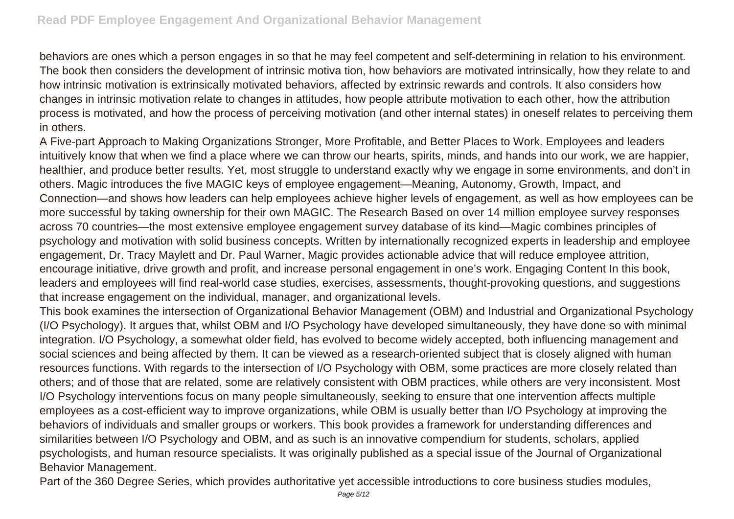behaviors are ones which a person engages in so that he may feel competent and self-determining in relation to his environment. The book then considers the development of intrinsic motiva tion, how behaviors are motivated intrinsically, how they relate to and how intrinsic motivation is extrinsically motivated behaviors, affected by extrinsic rewards and controls. It also considers how changes in intrinsic motivation relate to changes in attitudes, how people attribute motivation to each other, how the attribution process is motivated, and how the process of perceiving motivation (and other internal states) in oneself relates to perceiving them in others.

A Five-part Approach to Making Organizations Stronger, More Profitable, and Better Places to Work. Employees and leaders intuitively know that when we find a place where we can throw our hearts, spirits, minds, and hands into our work, we are happier, healthier, and produce better results. Yet, most struggle to understand exactly why we engage in some environments, and don't in others. Magic introduces the five MAGIC keys of employee engagement—Meaning, Autonomy, Growth, Impact, and Connection—and shows how leaders can help employees achieve higher levels of engagement, as well as how employees can be more successful by taking ownership for their own MAGIC. The Research Based on over 14 million employee survey responses across 70 countries—the most extensive employee engagement survey database of its kind—Magic combines principles of psychology and motivation with solid business concepts. Written by internationally recognized experts in leadership and employee engagement, Dr. Tracy Maylett and Dr. Paul Warner, Magic provides actionable advice that will reduce employee attrition, encourage initiative, drive growth and profit, and increase personal engagement in one's work. Engaging Content In this book, leaders and employees will find real-world case studies, exercises, assessments, thought-provoking questions, and suggestions that increase engagement on the individual, manager, and organizational levels.

This book examines the intersection of Organizational Behavior Management (OBM) and Industrial and Organizational Psychology (I/O Psychology). It argues that, whilst OBM and I/O Psychology have developed simultaneously, they have done so with minimal integration. I/O Psychology, a somewhat older field, has evolved to become widely accepted, both influencing management and social sciences and being affected by them. It can be viewed as a research-oriented subject that is closely aligned with human resources functions. With regards to the intersection of I/O Psychology with OBM, some practices are more closely related than others; and of those that are related, some are relatively consistent with OBM practices, while others are very inconsistent. Most I/O Psychology interventions focus on many people simultaneously, seeking to ensure that one intervention affects multiple employees as a cost-efficient way to improve organizations, while OBM is usually better than I/O Psychology at improving the behaviors of individuals and smaller groups or workers. This book provides a framework for understanding differences and similarities between I/O Psychology and OBM, and as such is an innovative compendium for students, scholars, applied psychologists, and human resource specialists. It was originally published as a special issue of the Journal of Organizational Behavior Management.

Part of the 360 Degree Series, which provides authoritative yet accessible introductions to core business studies modules,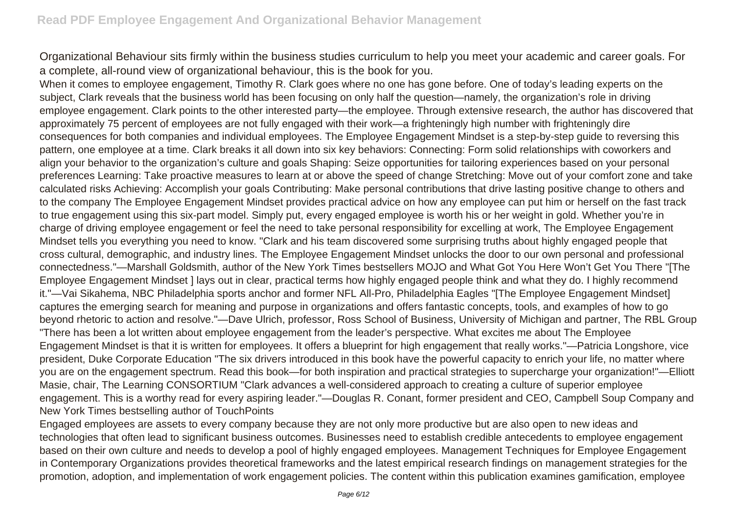Organizational Behaviour sits firmly within the business studies curriculum to help you meet your academic and career goals. For a complete, all-round view of organizational behaviour, this is the book for you.

When it comes to employee engagement, Timothy R. Clark goes where no one has gone before. One of today's leading experts on the subject, Clark reveals that the business world has been focusing on only half the question—namely, the organization's role in driving employee engagement. Clark points to the other interested party—the employee. Through extensive research, the author has discovered that approximately 75 percent of employees are not fully engaged with their work—a frighteningly high number with frighteningly dire consequences for both companies and individual employees. The Employee Engagement Mindset is a step-by-step guide to reversing this pattern, one employee at a time. Clark breaks it all down into six key behaviors: Connecting: Form solid relationships with coworkers and align your behavior to the organization's culture and goals Shaping: Seize opportunities for tailoring experiences based on your personal preferences Learning: Take proactive measures to learn at or above the speed of change Stretching: Move out of your comfort zone and take calculated risks Achieving: Accomplish your goals Contributing: Make personal contributions that drive lasting positive change to others and to the company The Employee Engagement Mindset provides practical advice on how any employee can put him or herself on the fast track to true engagement using this six-part model. Simply put, every engaged employee is worth his or her weight in gold. Whether you're in charge of driving employee engagement or feel the need to take personal responsibility for excelling at work, The Employee Engagement Mindset tells you everything you need to know. "Clark and his team discovered some surprising truths about highly engaged people that cross cultural, demographic, and industry lines. The Employee Engagement Mindset unlocks the door to our own personal and professional connectedness."—Marshall Goldsmith, author of the New York Times bestsellers MOJO and What Got You Here Won't Get You There "[The Employee Engagement Mindset ] lays out in clear, practical terms how highly engaged people think and what they do. I highly recommend it."—Vai Sikahema, NBC Philadelphia sports anchor and former NFL All-Pro, Philadelphia Eagles "[The Employee Engagement Mindset] captures the emerging search for meaning and purpose in organizations and offers fantastic concepts, tools, and examples of how to go beyond rhetoric to action and resolve."—Dave Ulrich, professor, Ross School of Business, University of Michigan and partner, The RBL Group "There has been a lot written about employee engagement from the leader's perspective. What excites me about The Employee Engagement Mindset is that it is written for employees. It offers a blueprint for high engagement that really works."—Patricia Longshore, vice president, Duke Corporate Education "The six drivers introduced in this book have the powerful capacity to enrich your life, no matter where you are on the engagement spectrum. Read this book—for both inspiration and practical strategies to supercharge your organization!"—Elliott Masie, chair, The Learning CONSORTIUM "Clark advances a well-considered approach to creating a culture of superior employee engagement. This is a worthy read for every aspiring leader."—Douglas R. Conant, former president and CEO, Campbell Soup Company and New York Times bestselling author of TouchPoints

Engaged employees are assets to every company because they are not only more productive but are also open to new ideas and technologies that often lead to significant business outcomes. Businesses need to establish credible antecedents to employee engagement based on their own culture and needs to develop a pool of highly engaged employees. Management Techniques for Employee Engagement in Contemporary Organizations provides theoretical frameworks and the latest empirical research findings on management strategies for the promotion, adoption, and implementation of work engagement policies. The content within this publication examines gamification, employee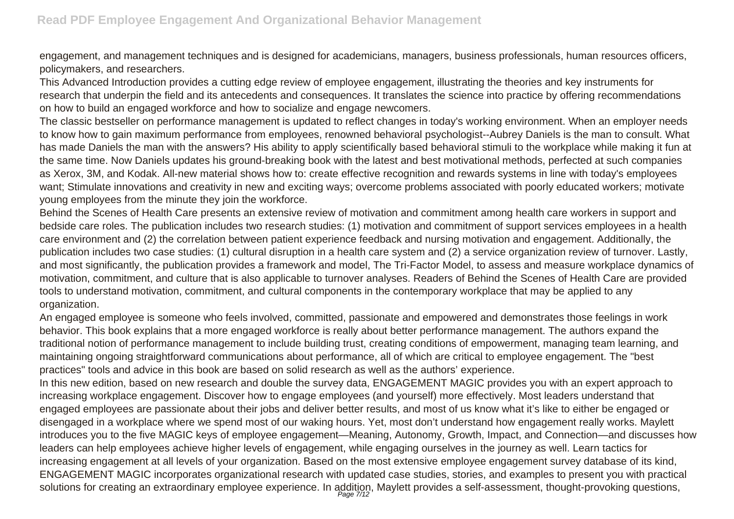engagement, and management techniques and is designed for academicians, managers, business professionals, human resources officers, policymakers, and researchers.

This Advanced Introduction provides a cutting edge review of employee engagement, illustrating the theories and key instruments for research that underpin the field and its antecedents and consequences. It translates the science into practice by offering recommendations on how to build an engaged workforce and how to socialize and engage newcomers.

The classic bestseller on performance management is updated to reflect changes in today's working environment. When an employer needs to know how to gain maximum performance from employees, renowned behavioral psychologist--Aubrey Daniels is the man to consult. What has made Daniels the man with the answers? His ability to apply scientifically based behavioral stimuli to the workplace while making it fun at the same time. Now Daniels updates his ground-breaking book with the latest and best motivational methods, perfected at such companies as Xerox, 3M, and Kodak. All-new material shows how to: create effective recognition and rewards systems in line with today's employees want; Stimulate innovations and creativity in new and exciting ways; overcome problems associated with poorly educated workers; motivate young employees from the minute they join the workforce.

Behind the Scenes of Health Care presents an extensive review of motivation and commitment among health care workers in support and bedside care roles. The publication includes two research studies: (1) motivation and commitment of support services employees in a health care environment and (2) the correlation between patient experience feedback and nursing motivation and engagement. Additionally, the publication includes two case studies: (1) cultural disruption in a health care system and (2) a service organization review of turnover. Lastly, and most significantly, the publication provides a framework and model, The Tri-Factor Model, to assess and measure workplace dynamics of motivation, commitment, and culture that is also applicable to turnover analyses. Readers of Behind the Scenes of Health Care are provided tools to understand motivation, commitment, and cultural components in the contemporary workplace that may be applied to any organization.

An engaged employee is someone who feels involved, committed, passionate and empowered and demonstrates those feelings in work behavior. This book explains that a more engaged workforce is really about better performance management. The authors expand the traditional notion of performance management to include building trust, creating conditions of empowerment, managing team learning, and maintaining ongoing straightforward communications about performance, all of which are critical to employee engagement. The "best practices" tools and advice in this book are based on solid research as well as the authors' experience.

In this new edition, based on new research and double the survey data, ENGAGEMENT MAGIC provides you with an expert approach to increasing workplace engagement. Discover how to engage employees (and yourself) more effectively. Most leaders understand that engaged employees are passionate about their jobs and deliver better results, and most of us know what it's like to either be engaged or disengaged in a workplace where we spend most of our waking hours. Yet, most don't understand how engagement really works. Maylett introduces you to the five MAGIC keys of employee engagement—Meaning, Autonomy, Growth, Impact, and Connection—and discusses how leaders can help employees achieve higher levels of engagement, while engaging ourselves in the journey as well. Learn tactics for increasing engagement at all levels of your organization. Based on the most extensive employee engagement survey database of its kind, ENGAGEMENT MAGIC incorporates organizational research with updated case studies, stories, and examples to present you with practical solutions for creating an extraordinary employee experience. In addition, Maylett provides a self-assessment, thought-provoking questions,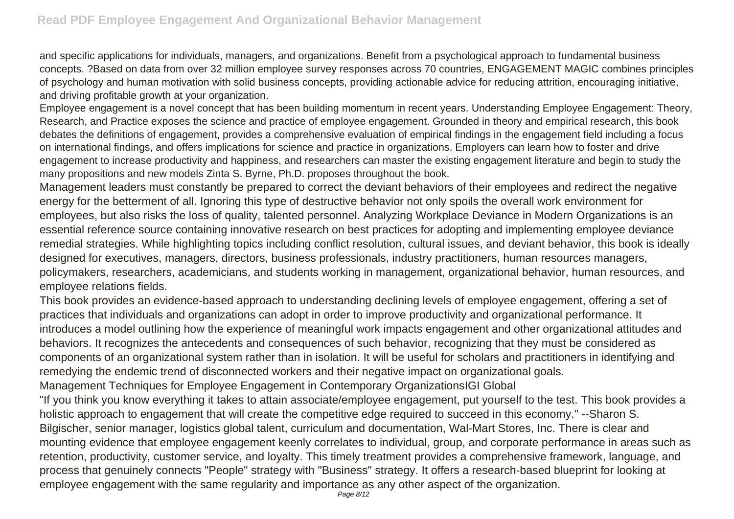and specific applications for individuals, managers, and organizations. Benefit from a psychological approach to fundamental business concepts. ?Based on data from over 32 million employee survey responses across 70 countries, ENGAGEMENT MAGIC combines principles of psychology and human motivation with solid business concepts, providing actionable advice for reducing attrition, encouraging initiative, and driving profitable growth at your organization.

Employee engagement is a novel concept that has been building momentum in recent years. Understanding Employee Engagement: Theory, Research, and Practice exposes the science and practice of employee engagement. Grounded in theory and empirical research, this book debates the definitions of engagement, provides a comprehensive evaluation of empirical findings in the engagement field including a focus on international findings, and offers implications for science and practice in organizations. Employers can learn how to foster and drive engagement to increase productivity and happiness, and researchers can master the existing engagement literature and begin to study the many propositions and new models Zinta S. Byrne, Ph.D. proposes throughout the book.

Management leaders must constantly be prepared to correct the deviant behaviors of their employees and redirect the negative energy for the betterment of all. Ignoring this type of destructive behavior not only spoils the overall work environment for employees, but also risks the loss of quality, talented personnel. Analyzing Workplace Deviance in Modern Organizations is an essential reference source containing innovative research on best practices for adopting and implementing employee deviance remedial strategies. While highlighting topics including conflict resolution, cultural issues, and deviant behavior, this book is ideally designed for executives, managers, directors, business professionals, industry practitioners, human resources managers, policymakers, researchers, academicians, and students working in management, organizational behavior, human resources, and employee relations fields.

This book provides an evidence-based approach to understanding declining levels of employee engagement, offering a set of practices that individuals and organizations can adopt in order to improve productivity and organizational performance. It introduces a model outlining how the experience of meaningful work impacts engagement and other organizational attitudes and behaviors. It recognizes the antecedents and consequences of such behavior, recognizing that they must be considered as components of an organizational system rather than in isolation. It will be useful for scholars and practitioners in identifying and remedying the endemic trend of disconnected workers and their negative impact on organizational goals.

Management Techniques for Employee Engagement in Contemporary OrganizationsIGI Global

"If you think you know everything it takes to attain associate/employee engagement, put yourself to the test. This book provides a holistic approach to engagement that will create the competitive edge required to succeed in this economy." --Sharon S. Bilgischer, senior manager, logistics global talent, curriculum and documentation, Wal-Mart Stores, Inc. There is clear and mounting evidence that employee engagement keenly correlates to individual, group, and corporate performance in areas such as retention, productivity, customer service, and loyalty. This timely treatment provides a comprehensive framework, language, and process that genuinely connects "People" strategy with "Business" strategy. It offers a research-based blueprint for looking at employee engagement with the same regularity and importance as any other aspect of the organization.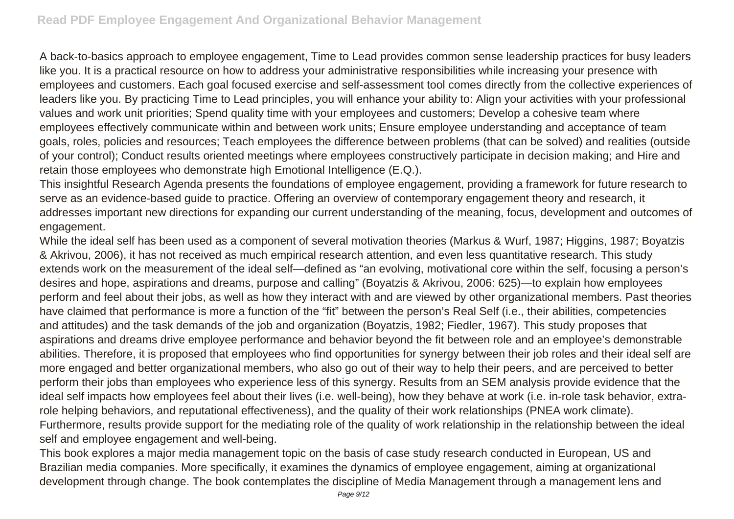A back-to-basics approach to employee engagement, Time to Lead provides common sense leadership practices for busy leaders like you. It is a practical resource on how to address your administrative responsibilities while increasing your presence with employees and customers. Each goal focused exercise and self-assessment tool comes directly from the collective experiences of leaders like you. By practicing Time to Lead principles, you will enhance your ability to: Align your activities with your professional values and work unit priorities; Spend quality time with your employees and customers; Develop a cohesive team where employees effectively communicate within and between work units; Ensure employee understanding and acceptance of team goals, roles, policies and resources; Teach employees the difference between problems (that can be solved) and realities (outside of your control); Conduct results oriented meetings where employees constructively participate in decision making; and Hire and retain those employees who demonstrate high Emotional Intelligence (E.Q.).

This insightful Research Agenda presents the foundations of employee engagement, providing a framework for future research to serve as an evidence-based guide to practice. Offering an overview of contemporary engagement theory and research, it addresses important new directions for expanding our current understanding of the meaning, focus, development and outcomes of engagement.

While the ideal self has been used as a component of several motivation theories (Markus & Wurf, 1987; Higgins, 1987; Boyatzis & Akrivou, 2006), it has not received as much empirical research attention, and even less quantitative research. This study extends work on the measurement of the ideal self—defined as "an evolving, motivational core within the self, focusing a person's desires and hope, aspirations and dreams, purpose and calling" (Boyatzis & Akrivou, 2006: 625)—to explain how employees perform and feel about their jobs, as well as how they interact with and are viewed by other organizational members. Past theories have claimed that performance is more a function of the "fit" between the person's Real Self (i.e., their abilities, competencies and attitudes) and the task demands of the job and organization (Boyatzis, 1982; Fiedler, 1967). This study proposes that aspirations and dreams drive employee performance and behavior beyond the fit between role and an employee's demonstrable abilities. Therefore, it is proposed that employees who find opportunities for synergy between their job roles and their ideal self are more engaged and better organizational members, who also go out of their way to help their peers, and are perceived to better perform their jobs than employees who experience less of this synergy. Results from an SEM analysis provide evidence that the ideal self impacts how employees feel about their lives (i.e. well-being), how they behave at work (i.e. in-role task behavior, extrarole helping behaviors, and reputational effectiveness), and the quality of their work relationships (PNEA work climate). Furthermore, results provide support for the mediating role of the quality of work relationship in the relationship between the ideal self and employee engagement and well-being.

This book explores a major media management topic on the basis of case study research conducted in European, US and Brazilian media companies. More specifically, it examines the dynamics of employee engagement, aiming at organizational development through change. The book contemplates the discipline of Media Management through a management lens and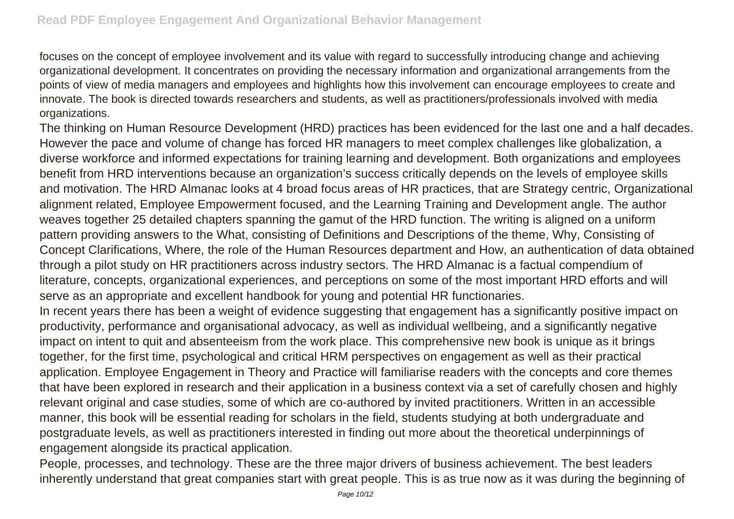focuses on the concept of employee involvement and its value with regard to successfully introducing change and achieving organizational development. It concentrates on providing the necessary information and organizational arrangements from the points of view of media managers and employees and highlights how this involvement can encourage employees to create and innovate. The book is directed towards researchers and students, as well as practitioners/professionals involved with media organizations.

The thinking on Human Resource Development (HRD) practices has been evidenced for the last one and a half decades. However the pace and volume of change has forced HR managers to meet complex challenges like globalization, a diverse workforce and informed expectations for training learning and development. Both organizations and employees benefit from HRD interventions because an organization's success critically depends on the levels of employee skills and motivation. The HRD Almanac looks at 4 broad focus areas of HR practices, that are Strategy centric, Organizational alignment related, Employee Empowerment focused, and the Learning Training and Development angle. The author weaves together 25 detailed chapters spanning the gamut of the HRD function. The writing is aligned on a uniform pattern providing answers to the What, consisting of Definitions and Descriptions of the theme, Why, Consisting of Concept Clarifications, Where, the role of the Human Resources department and How, an authentication of data obtained through a pilot study on HR practitioners across industry sectors. The HRD Almanac is a factual compendium of literature, concepts, organizational experiences, and perceptions on some of the most important HRD efforts and will serve as an appropriate and excellent handbook for young and potential HR functionaries.

In recent years there has been a weight of evidence suggesting that engagement has a significantly positive impact on productivity, performance and organisational advocacy, as well as individual wellbeing, and a significantly negative impact on intent to quit and absenteeism from the work place. This comprehensive new book is unique as it brings together, for the first time, psychological and critical HRM perspectives on engagement as well as their practical application. Employee Engagement in Theory and Practice will familiarise readers with the concepts and core themes that have been explored in research and their application in a business context via a set of carefully chosen and highly relevant original and case studies, some of which are co-authored by invited practitioners. Written in an accessible manner, this book will be essential reading for scholars in the field, students studying at both undergraduate and postgraduate levels, as well as practitioners interested in finding out more about the theoretical underpinnings of engagement alongside its practical application.

People, processes, and technology. These are the three major drivers of business achievement. The best leaders inherently understand that great companies start with great people. This is as true now as it was during the beginning of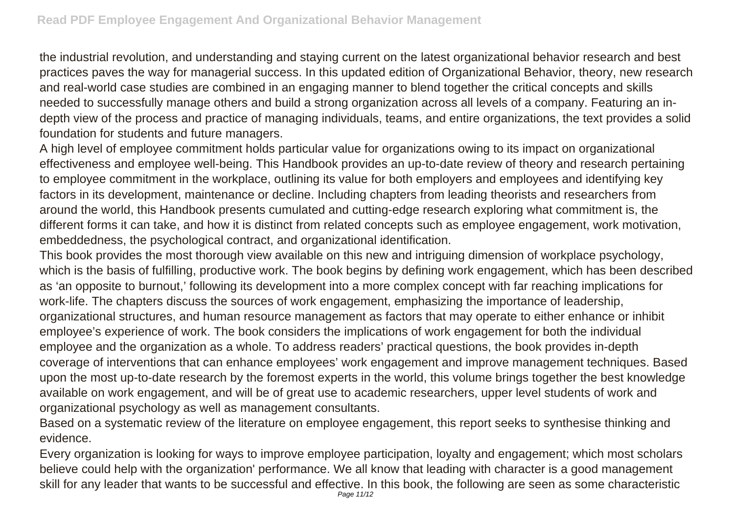the industrial revolution, and understanding and staying current on the latest organizational behavior research and best practices paves the way for managerial success. In this updated edition of Organizational Behavior, theory, new research and real-world case studies are combined in an engaging manner to blend together the critical concepts and skills needed to successfully manage others and build a strong organization across all levels of a company. Featuring an indepth view of the process and practice of managing individuals, teams, and entire organizations, the text provides a solid foundation for students and future managers.

A high level of employee commitment holds particular value for organizations owing to its impact on organizational effectiveness and employee well-being. This Handbook provides an up-to-date review of theory and research pertaining to employee commitment in the workplace, outlining its value for both employers and employees and identifying key factors in its development, maintenance or decline. Including chapters from leading theorists and researchers from around the world, this Handbook presents cumulated and cutting-edge research exploring what commitment is, the different forms it can take, and how it is distinct from related concepts such as employee engagement, work motivation, embeddedness, the psychological contract, and organizational identification.

This book provides the most thorough view available on this new and intriguing dimension of workplace psychology, which is the basis of fulfilling, productive work. The book begins by defining work engagement, which has been described as 'an opposite to burnout,' following its development into a more complex concept with far reaching implications for work-life. The chapters discuss the sources of work engagement, emphasizing the importance of leadership, organizational structures, and human resource management as factors that may operate to either enhance or inhibit employee's experience of work. The book considers the implications of work engagement for both the individual employee and the organization as a whole. To address readers' practical questions, the book provides in-depth coverage of interventions that can enhance employees' work engagement and improve management techniques. Based upon the most up-to-date research by the foremost experts in the world, this volume brings together the best knowledge available on work engagement, and will be of great use to academic researchers, upper level students of work and organizational psychology as well as management consultants.

Based on a systematic review of the literature on employee engagement, this report seeks to synthesise thinking and evidence.

Every organization is looking for ways to improve employee participation, loyalty and engagement; which most scholars believe could help with the organization' performance. We all know that leading with character is a good management skill for any leader that wants to be successful and effective. In this book, the following are seen as some characteristic Page 11/12